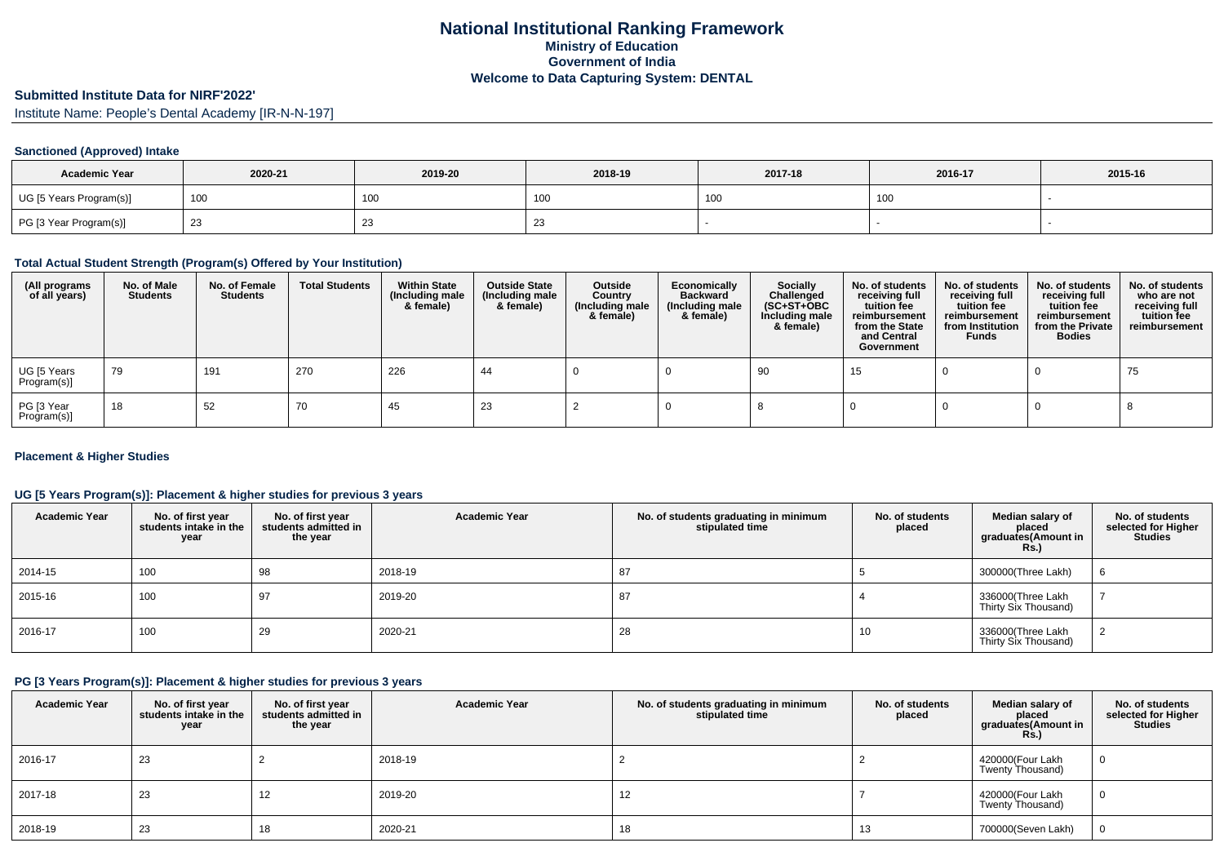# **Submitted Institute Data for NIRF'2022'**

Institute Name: People's Dental Academy [IR-N-N-197]

### **Sanctioned (Approved) Intake**

| <b>Academic Year</b>    | 2020-21 | 2019-20 | 2018-19         | 2017-18    | 2016-17 | 2015-16 |
|-------------------------|---------|---------|-----------------|------------|---------|---------|
| UG [5 Years Program(s)] | 100     | 100     | 10 <sub>0</sub> | 100<br>טטו | 100     |         |
| PG [3 Year Program(s)]  |         | 23      | ں ے             |            |         |         |

# **Total Actual Student Strength (Program(s) Offered by Your Institution)**

| (All programs<br>of all years) | No. of Male<br><b>Students</b> | No. of Female<br><b>Students</b> | <b>Total Students</b> | <b>Within State</b><br>(Including male<br>& female) | <b>Outside State</b><br>(Including male<br>& female) | Outside<br>Country<br>(Including male<br>& female) | Economically<br><b>Backward</b><br>(Including male<br>& female) | <b>Socially</b><br>Challenged<br>$(SC+ST+OBC)$<br>Including male<br>& female) | No. of students<br>receiving full<br>tuition fee<br>reimbursement<br>from the State<br>and Central<br>Government | No. of students<br>receiving full<br>tuition fee<br>reimbursement<br>from Institution<br><b>Funds</b> | No. of students<br>receiving full<br>tuition fee<br>reimbursement<br>from the Private<br><b>Bodies</b> | No. of students<br>who are not<br>receiving full<br>tuition fee<br>reimbursement |
|--------------------------------|--------------------------------|----------------------------------|-----------------------|-----------------------------------------------------|------------------------------------------------------|----------------------------------------------------|-----------------------------------------------------------------|-------------------------------------------------------------------------------|------------------------------------------------------------------------------------------------------------------|-------------------------------------------------------------------------------------------------------|--------------------------------------------------------------------------------------------------------|----------------------------------------------------------------------------------|
| UG [5 Years<br>Program(s)]     | 79                             | 191                              | 270                   | 226                                                 | 44                                                   |                                                    |                                                                 | 90                                                                            | 15                                                                                                               |                                                                                                       |                                                                                                        | 75                                                                               |
| PG [3 Year<br>Program(s)]      | 18                             | 52                               | 70                    | 45                                                  | 23                                                   |                                                    |                                                                 |                                                                               |                                                                                                                  |                                                                                                       |                                                                                                        |                                                                                  |

#### **Placement & Higher Studies**

#### **UG [5 Years Program(s)]: Placement & higher studies for previous 3 years**

| <b>Academic Year</b> | No. of first year<br>students intake in the<br>year | No. of first year<br>students admitted in<br>the year | <b>Academic Year</b> | No. of students graduating in minimum<br>stipulated time | No. of students<br>placed | Median salary of<br>placed<br>graduates(Amount in<br>Rs.) | No. of students<br>selected for Higher<br><b>Studies</b> |
|----------------------|-----------------------------------------------------|-------------------------------------------------------|----------------------|----------------------------------------------------------|---------------------------|-----------------------------------------------------------|----------------------------------------------------------|
| 2014-15              | 100                                                 | 98                                                    | 2018-19              | 87                                                       |                           | 300000(Three Lakh)                                        | 6                                                        |
| 2015-16              | 100                                                 | 97                                                    | 2019-20              | 87                                                       |                           | 336000(Three Lakh<br>Thirty Six Thousand)                 |                                                          |
| 2016-17              | 100                                                 | 29                                                    | 2020-21              | 28                                                       | 10                        | 336000(Three Lakh<br>Thirty Six Thousand)                 |                                                          |

# **PG [3 Years Program(s)]: Placement & higher studies for previous 3 years**

| <b>Academic Year</b> | No. of first year<br>students intake in the<br>year | No. of first year<br>students admitted in<br>the year | <b>Academic Year</b> | No. of students graduating in minimum<br>stipulated time | No. of students<br>placed | Median salary of<br>placed<br>graduates(Amount in<br>Rs.) | No. of students<br>selected for Higher<br><b>Studies</b> |
|----------------------|-----------------------------------------------------|-------------------------------------------------------|----------------------|----------------------------------------------------------|---------------------------|-----------------------------------------------------------|----------------------------------------------------------|
| 2016-17              | 23                                                  |                                                       | 2018-19              |                                                          |                           | 420000(Four Lakh<br>Twenty Thousand)                      |                                                          |
| 2017-18              | 23                                                  | 14                                                    | 2019-20              | 12                                                       |                           | 420000(Four Lakh<br>Twenty Thousand)                      | U                                                        |
| 2018-19              | 23                                                  | 18                                                    | 2020-21              | 18                                                       | 13                        | 700000(Seven Lakh)                                        |                                                          |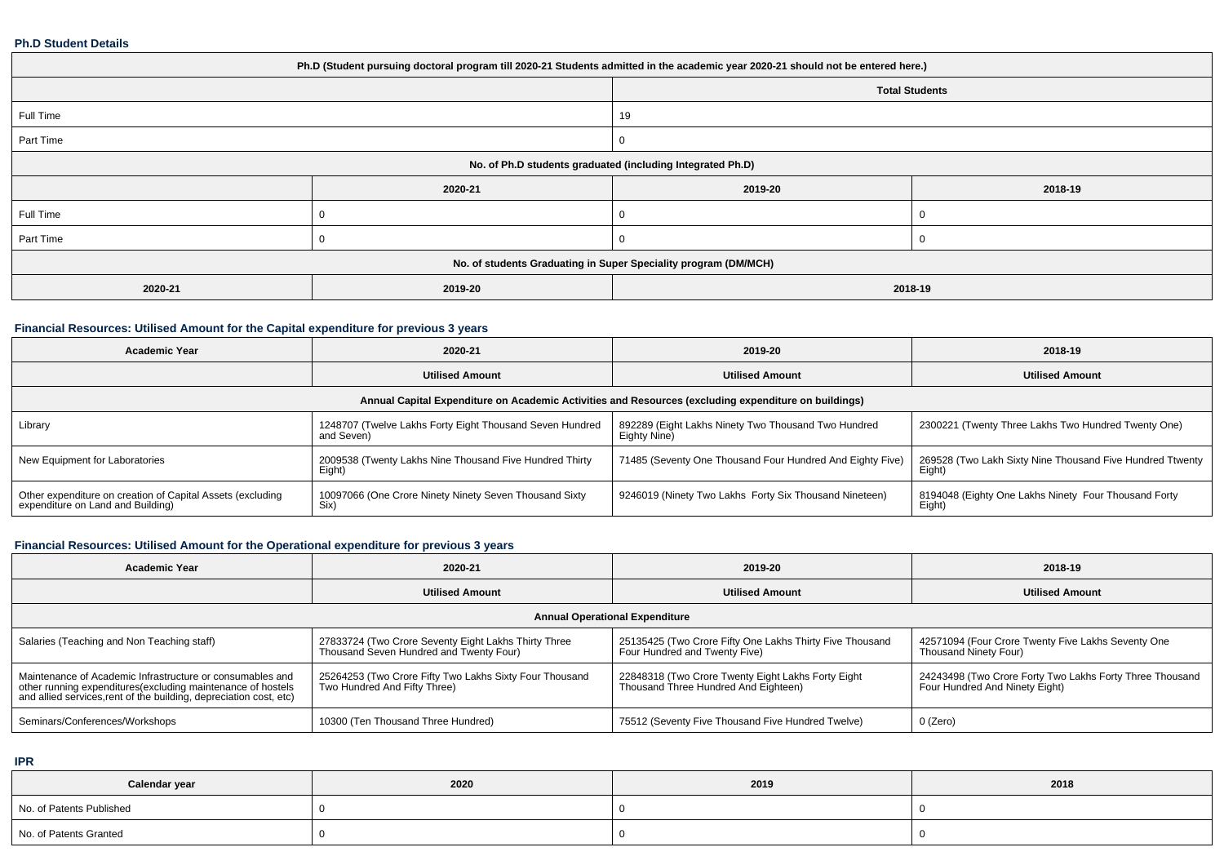#### **Ph.D Student Details**

| Ph.D (Student pursuing doctoral program till 2020-21 Students admitted in the academic year 2020-21 should not be entered here.) |                                                                 |         |         |  |  |  |  |
|----------------------------------------------------------------------------------------------------------------------------------|-----------------------------------------------------------------|---------|---------|--|--|--|--|
| <b>Total Students</b>                                                                                                            |                                                                 |         |         |  |  |  |  |
| Full Time                                                                                                                        |                                                                 | 19      |         |  |  |  |  |
| Part Time                                                                                                                        |                                                                 |         |         |  |  |  |  |
| No. of Ph.D students graduated (including Integrated Ph.D)                                                                       |                                                                 |         |         |  |  |  |  |
|                                                                                                                                  | 2020-21                                                         | 2019-20 | 2018-19 |  |  |  |  |
| Full Time                                                                                                                        |                                                                 |         |         |  |  |  |  |
| Part Time                                                                                                                        |                                                                 |         |         |  |  |  |  |
|                                                                                                                                  | No. of students Graduating in Super Speciality program (DM/MCH) |         |         |  |  |  |  |
| 2020-21                                                                                                                          | 2019-20                                                         | 2018-19 |         |  |  |  |  |

## **Financial Resources: Utilised Amount for the Capital expenditure for previous 3 years**

| <b>Academic Year</b>                                                                                 | 2020-21                                                                | 2019-20                                                             | 2018-19                                                             |  |  |  |  |  |  |
|------------------------------------------------------------------------------------------------------|------------------------------------------------------------------------|---------------------------------------------------------------------|---------------------------------------------------------------------|--|--|--|--|--|--|
|                                                                                                      | <b>Utilised Amount</b>                                                 | <b>Utilised Amount</b>                                              | <b>Utilised Amount</b>                                              |  |  |  |  |  |  |
| Annual Capital Expenditure on Academic Activities and Resources (excluding expenditure on buildings) |                                                                        |                                                                     |                                                                     |  |  |  |  |  |  |
| Library                                                                                              | 1248707 (Twelve Lakhs Forty Eight Thousand Seven Hundred<br>and Seven) | 892289 (Eight Lakhs Ninety Two Thousand Two Hundred<br>Eighty Nine) | 2300221 (Twenty Three Lakhs Two Hundred Twenty One)                 |  |  |  |  |  |  |
| New Equipment for Laboratories                                                                       | 2009538 (Twenty Lakhs Nine Thousand Five Hundred Thirty<br>Eight)      | 71485 (Seventy One Thousand Four Hundred And Eighty Five)           | 269528 (Two Lakh Sixty Nine Thousand Five Hundred Ttwenty<br>Eight) |  |  |  |  |  |  |
| Other expenditure on creation of Capital Assets (excluding<br>expenditure on Land and Building)      | 10097066 (One Crore Ninety Ninety Seven Thousand Sixty<br>Six)         | 9246019 (Ninety Two Lakhs Forty Six Thousand Nineteen)              | 8194048 (Eighty One Lakhs Ninety Four Thousand Forty<br>Eight)      |  |  |  |  |  |  |

# **Financial Resources: Utilised Amount for the Operational expenditure for previous 3 years**

| <b>Academic Year</b>                                                                                                                                                                            | 2020-21                                                                                         | 2019-20                                                                                    | 2018-19                                                                                    |  |  |  |  |  |
|-------------------------------------------------------------------------------------------------------------------------------------------------------------------------------------------------|-------------------------------------------------------------------------------------------------|--------------------------------------------------------------------------------------------|--------------------------------------------------------------------------------------------|--|--|--|--|--|
|                                                                                                                                                                                                 | <b>Utilised Amount</b>                                                                          | <b>Utilised Amount</b>                                                                     | <b>Utilised Amount</b>                                                                     |  |  |  |  |  |
| <b>Annual Operational Expenditure</b>                                                                                                                                                           |                                                                                                 |                                                                                            |                                                                                            |  |  |  |  |  |
| Salaries (Teaching and Non Teaching staff)                                                                                                                                                      | 27833724 (Two Crore Seventy Eight Lakhs Thirty Three<br>Thousand Seven Hundred and Twenty Four) | 25135425 (Two Crore Fifty One Lakhs Thirty Five Thousand<br>Four Hundred and Twenty Five)  | 42571094 (Four Crore Twenty Five Lakhs Seventy One<br>Thousand Ninety Four)                |  |  |  |  |  |
| Maintenance of Academic Infrastructure or consumables and<br>other running expenditures (excluding maintenance of hostels<br>and allied services, rent of the building, depreciation cost, etc) | 25264253 (Two Crore Fifty Two Lakhs Sixty Four Thousand<br>Two Hundred And Fifty Three)         | 22848318 (Two Crore Twenty Eight Lakhs Forty Eight<br>Thousand Three Hundred And Eighteen) | 24243498 (Two Crore Forty Two Lakhs Forty Three Thousand<br>Four Hundred And Ninety Eight) |  |  |  |  |  |
| Seminars/Conferences/Workshops                                                                                                                                                                  | 10300 (Ten Thousand Three Hundred)                                                              | 75512 (Seventy Five Thousand Five Hundred Twelve)                                          | 0 (Zero)                                                                                   |  |  |  |  |  |

**IPR**

| Calendar year            | 2020 | 2019 | 2018 |
|--------------------------|------|------|------|
| No. of Patents Published |      |      |      |
| No. of Patents Granted   |      |      |      |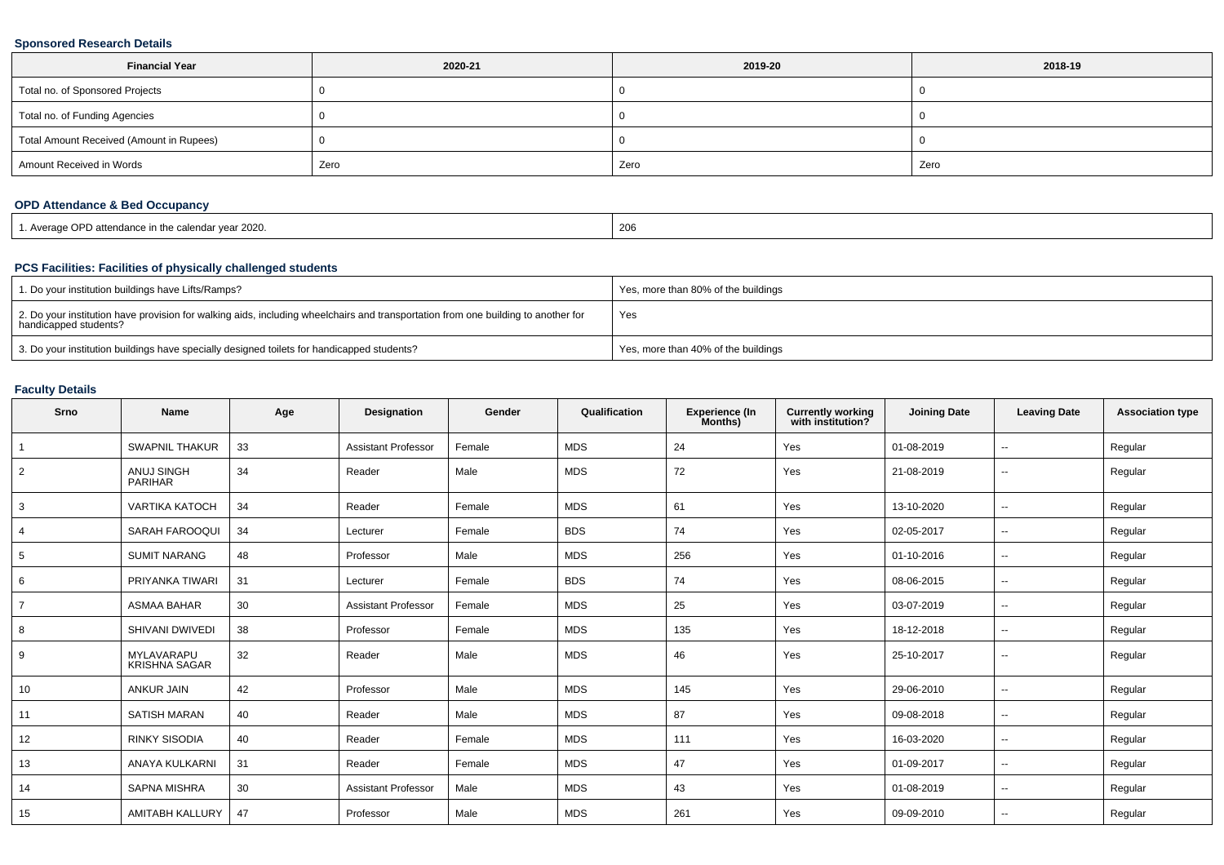### **Sponsored Research Details**

| <b>Financial Year</b>                    | 2020-21 | 2019-20 | 2018-19 |
|------------------------------------------|---------|---------|---------|
| Total no. of Sponsored Projects          |         |         |         |
| Total no. of Funding Agencies            |         |         |         |
| Total Amount Received (Amount in Rupees) |         |         |         |
| Amount Received in Words                 | Zero    | Zero    | Zero    |

# **OPD Attendance & Bed Occupancy**

| 1. Average OPD attendance in the calendar year 2020. | 206 |
|------------------------------------------------------|-----|
|------------------------------------------------------|-----|

## **PCS Facilities: Facilities of physically challenged students**

| 1. Do your institution buildings have Lifts/Ramps?                                                                                                         | Yes, more than 80% of the buildings |
|------------------------------------------------------------------------------------------------------------------------------------------------------------|-------------------------------------|
| 2. Do your institution have provision for walking aids, including wheelchairs and transportation from one building to another for<br>handicapped students? | Yes                                 |
| 3. Do your institution buildings have specially designed toilets for handicapped students?                                                                 | Yes, more than 40% of the buildings |

# **Faculty Details**

| Srno           | <b>Name</b>                         | Age | Designation                | Gender | Qualification | Experience (In<br>Months) | <b>Currently working</b><br>with institution? | <b>Joining Date</b> | <b>Leaving Date</b>      | <b>Association type</b> |
|----------------|-------------------------------------|-----|----------------------------|--------|---------------|---------------------------|-----------------------------------------------|---------------------|--------------------------|-------------------------|
|                | <b>SWAPNIL THAKUR</b>               | 33  | <b>Assistant Professor</b> | Female | <b>MDS</b>    | 24                        | Yes                                           | 01-08-2019          | $\overline{\phantom{a}}$ | Regular                 |
| 2              | <b>ANUJ SINGH</b><br><b>PARIHAR</b> | 34  | Reader                     | Male   | <b>MDS</b>    | 72                        | Yes                                           | 21-08-2019          | $\overline{\phantom{a}}$ | Regular                 |
| 3              | <b>VARTIKA KATOCH</b>               | 34  | Reader                     | Female | <b>MDS</b>    | 61                        | Yes                                           | 13-10-2020          | $\overline{\phantom{a}}$ | Regular                 |
|                | SARAH FAROOQUI                      | 34  | Lecturer                   | Female | <b>BDS</b>    | 74                        | Yes                                           | 02-05-2017          | $\sim$                   | Regular                 |
| 5              | <b>SUMIT NARANG</b>                 | 48  | Professor                  | Male   | <b>MDS</b>    | 256                       | Yes                                           | 01-10-2016          | $\sim$                   | Regular                 |
| 6              | PRIYANKA TIWARI                     | 31  | Lecturer                   | Female | <b>BDS</b>    | 74                        | Yes                                           | 08-06-2015          | $\sim$                   | Regular                 |
| $\overline{7}$ | <b>ASMAA BAHAR</b>                  | 30  | <b>Assistant Professor</b> | Female | MDS           | 25                        | Yes                                           | 03-07-2019          | $\sim$                   | Regular                 |
| 8              | SHIVANI DWIVEDI                     | 38  | Professor                  | Female | <b>MDS</b>    | 135                       | Yes                                           | 18-12-2018          | $\sim$                   | Regular                 |
| 9              | MYLAVARAPU<br><b>KRISHNA SAGAR</b>  | 32  | Reader                     | Male   | <b>MDS</b>    | 46                        | Yes                                           | 25-10-2017          | $\sim$                   | Regular                 |
| 10             | ANKUR JAIN                          | 42  | Professor                  | Male   | <b>MDS</b>    | 145                       | Yes                                           | 29-06-2010          | $\overline{\phantom{a}}$ | Regular                 |
| 11             | <b>SATISH MARAN</b>                 | 40  | Reader                     | Male   | <b>MDS</b>    | 87                        | Yes                                           | 09-08-2018          | $\sim$                   | Regular                 |
| 12             | <b>RINKY SISODIA</b>                | 40  | Reader                     | Female | <b>MDS</b>    | 111                       | Yes                                           | 16-03-2020          | $\sim$                   | Regular                 |
| 13             | ANAYA KULKARNI                      | 31  | Reader                     | Female | <b>MDS</b>    | 47                        | Yes                                           | 01-09-2017          | $\overline{\phantom{a}}$ | Regular                 |
| 14             | <b>SAPNA MISHRA</b>                 | 30  | <b>Assistant Professor</b> | Male   | <b>MDS</b>    | 43                        | Yes                                           | 01-08-2019          | $\sim$                   | Regular                 |
| 15             | <b>AMITABH KALLURY</b>              | 47  | Professor                  | Male   | <b>MDS</b>    | 261                       | Yes                                           | 09-09-2010          | $\sim$                   | Regular                 |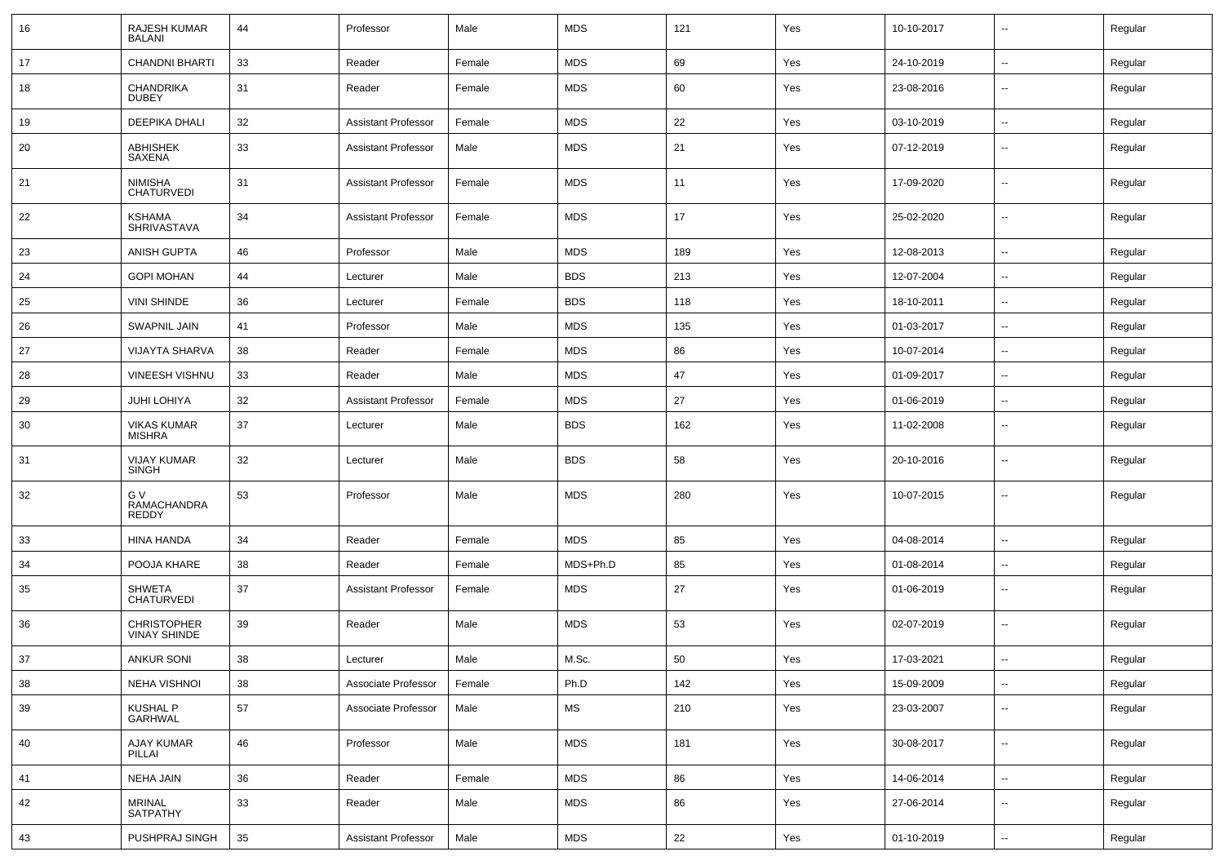| 16  | <b>RAJESH KUMAR</b><br><b>BALANI</b>      | 44 | Professor                  | Male   | <b>MDS</b> | 121 | Yes | 10-10-2017 | $\overline{\phantom{a}}$ | Regular |
|-----|-------------------------------------------|----|----------------------------|--------|------------|-----|-----|------------|--------------------------|---------|
| 17  | <b>CHANDNI BHARTI</b>                     | 33 | Reader                     | Female | <b>MDS</b> | 69  | Yes | 24-10-2019 | $\sim$                   | Regular |
| 18  | <b>CHANDRIKA</b><br><b>DUBEY</b>          | 31 | Reader                     | Female | <b>MDS</b> | 60  | Yes | 23-08-2016 | --                       | Regular |
| 19  | <b>DEEPIKA DHALI</b>                      | 32 | <b>Assistant Professor</b> | Female | <b>MDS</b> | 22  | Yes | 03-10-2019 | $\overline{a}$           | Regular |
| 20  | <b>ABHISHEK</b><br>SAXENA                 | 33 | <b>Assistant Professor</b> | Male   | <b>MDS</b> | 21  | Yes | 07-12-2019 | --                       | Regular |
| 21  | <b>NIMISHA</b><br><b>CHATURVEDI</b>       | 31 | <b>Assistant Professor</b> | Female | <b>MDS</b> | 11  | Yes | 17-09-2020 | $\sim$                   | Regular |
| 22  | <b>KSHAMA</b><br><b>SHRIVASTAVA</b>       | 34 | <b>Assistant Professor</b> | Female | <b>MDS</b> | 17  | Yes | 25-02-2020 | Ξ.                       | Regular |
| 23  | <b>ANISH GUPTA</b>                        | 46 | Professor                  | Male   | <b>MDS</b> | 189 | Yes | 12-08-2013 | $\sim$                   | Regular |
| 24  | <b>GOPI MOHAN</b>                         | 44 | Lecturer                   | Male   | <b>BDS</b> | 213 | Yes | 12-07-2004 | $\overline{\phantom{a}}$ | Regular |
| 25  | <b>VINI SHINDE</b>                        | 36 | Lecturer                   | Female | <b>BDS</b> | 118 | Yes | 18-10-2011 | --                       | Regular |
| 26  | <b>SWAPNIL JAIN</b>                       | 41 | Professor                  | Male   | <b>MDS</b> | 135 | Yes | 01-03-2017 | $\sim$                   | Regular |
| 27  | <b>VIJAYTA SHARVA</b>                     | 38 | Reader                     | Female | <b>MDS</b> | 86  | Yes | 10-07-2014 | $\sim$                   | Regular |
| 28  | <b>VINEESH VISHNU</b>                     | 33 | Reader                     | Male   | <b>MDS</b> | 47  | Yes | 01-09-2017 | --                       | Regular |
| 29  | <b>JUHI LOHIYA</b>                        | 32 | <b>Assistant Professor</b> | Female | <b>MDS</b> | 27  | Yes | 01-06-2019 | Ξ.                       | Regular |
| 30  | <b>VIKAS KUMAR</b><br><b>MISHRA</b>       | 37 | Lecturer                   | Male   | <b>BDS</b> | 162 | Yes | 11-02-2008 | --                       | Regular |
| -31 | <b>VIJAY KUMAR</b><br><b>SINGH</b>        | 32 | Lecturer                   | Male   | <b>BDS</b> | 58  | Yes | 20-10-2016 | $\overline{\phantom{a}}$ | Regular |
| 32  | G V<br>RAMACHANDRA<br>REDDY               | 53 | Professor                  | Male   | <b>MDS</b> | 280 | Yes | 10-07-2015 | --                       | Regular |
| 33  | HINA HANDA                                | 34 | Reader                     | Female | <b>MDS</b> | 85  | Yes | 04-08-2014 | $\overline{\phantom{a}}$ | Regular |
| 34  | POOJA KHARE                               | 38 | Reader                     | Female | MDS+Ph.D   | 85  | Yes | 01-08-2014 | $\overline{\phantom{a}}$ | Regular |
| 35  | <b>SHWETA</b><br><b>CHATURVEDI</b>        | 37 | <b>Assistant Professor</b> | Female | <b>MDS</b> | 27  | Yes | 01-06-2019 | --                       | Regular |
| 36  | <b>CHRISTOPHER</b><br><b>VINAY SHINDE</b> | 39 | Reader                     | Male   | <b>MDS</b> | 53  | Yes | 02-07-2019 | --                       | Regular |
| 37  | <b>ANKUR SONI</b>                         | 38 | Lecturer                   | Male   | M.Sc.      | 50  | Yes | 17-03-2021 | --                       | Regular |
| 38  | <b>NEHA VISHNOI</b>                       | 38 | Associate Professor        | Female | Ph.D       | 142 | Yes | 15-09-2009 | $\overline{\phantom{a}}$ | Regular |
| 39  | KUSHAL P<br>GARHWAL                       | 57 | Associate Professor        | Male   | MS         | 210 | Yes | 23-03-2007 | $\overline{\phantom{a}}$ | Regular |
| 40  | AJAY KUMAR<br>PILLAI                      | 46 | Professor                  | Male   | <b>MDS</b> | 181 | Yes | 30-08-2017 | $\sim$                   | Regular |
| 41  | <b>NEHA JAIN</b>                          | 36 | Reader                     | Female | <b>MDS</b> | 86  | Yes | 14-06-2014 | $\sim$                   | Regular |
| 42  | MRINAL<br>SATPATHY                        | 33 | Reader                     | Male   | <b>MDS</b> | 86  | Yes | 27-06-2014 | $\overline{\phantom{a}}$ | Regular |
| 43  | PUSHPRAJ SINGH                            | 35 | <b>Assistant Professor</b> | Male   | <b>MDS</b> | 22  | Yes | 01-10-2019 | $\sim$                   | Regular |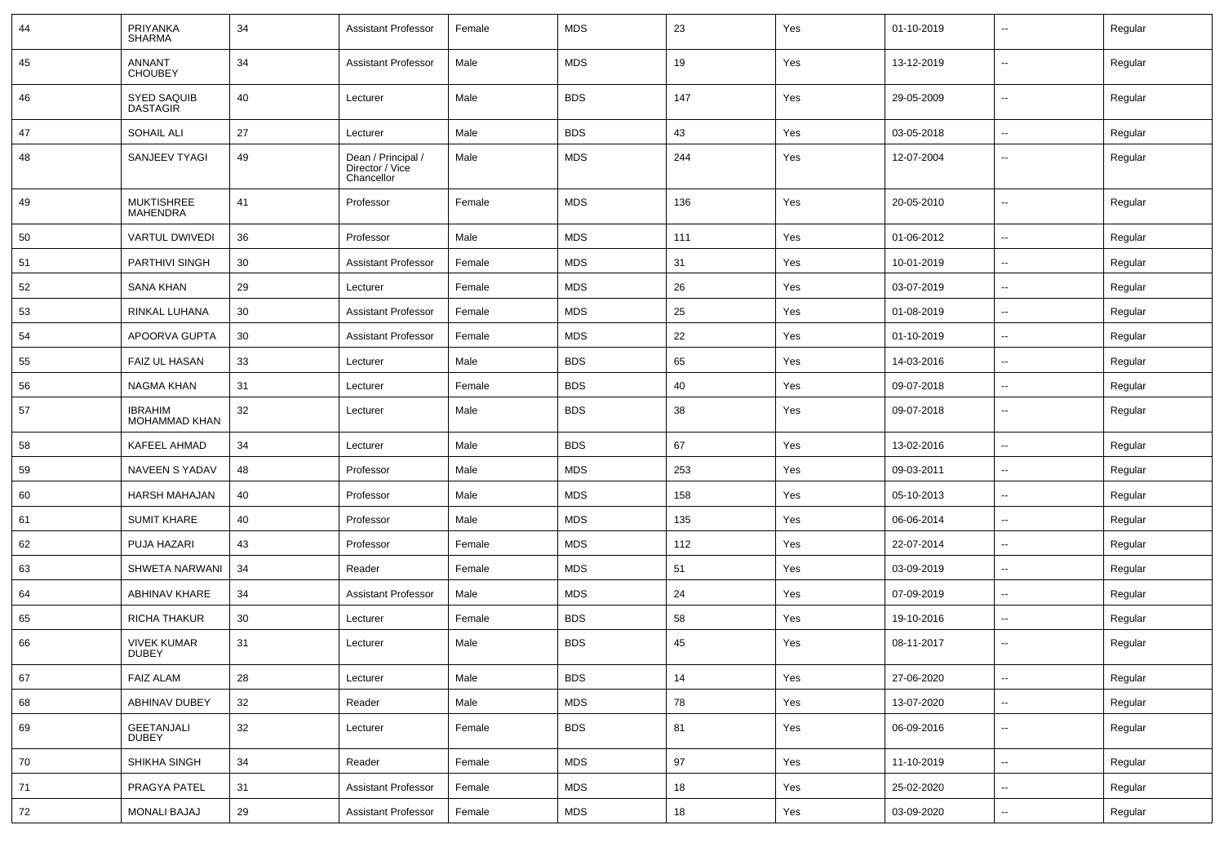| 44 | PRIYANKA<br><b>SHARMA</b>              | 34 | <b>Assistant Professor</b>                          | Female | <b>MDS</b> | 23  | Yes | 01-10-2019 | --                       | Regular |
|----|----------------------------------------|----|-----------------------------------------------------|--------|------------|-----|-----|------------|--------------------------|---------|
| 45 | ANNANT<br><b>CHOUBEY</b>               | 34 | <b>Assistant Professor</b>                          | Male   | <b>MDS</b> | 19  | Yes | 13-12-2019 | $\sim$                   | Regular |
| 46 | <b>SYED SAQUIB</b><br><b>DASTAGIR</b>  | 40 | Lecturer                                            | Male   | <b>BDS</b> | 147 | Yes | 29-05-2009 | $\sim$                   | Regular |
| 47 | <b>SOHAIL ALI</b>                      | 27 | Lecturer                                            | Male   | <b>BDS</b> | 43  | Yes | 03-05-2018 | $\sim$                   | Regular |
| 48 | SANJEEV TYAGI                          | 49 | Dean / Principal /<br>Director / Vice<br>Chancellor | Male   | <b>MDS</b> | 244 | Yes | 12-07-2004 | $\overline{\phantom{a}}$ | Regular |
| 49 | <b>MUKTISHREE</b><br><b>MAHENDRA</b>   | 41 | Professor                                           | Female | <b>MDS</b> | 136 | Yes | 20-05-2010 | Ξ.                       | Regular |
| 50 | VARTUL DWIVEDI                         | 36 | Professor                                           | Male   | <b>MDS</b> | 111 | Yes | 01-06-2012 | Ξ.                       | Regular |
| 51 | PARTHIVI SINGH                         | 30 | <b>Assistant Professor</b>                          | Female | <b>MDS</b> | 31  | Yes | 10-01-2019 | $\sim$                   | Regular |
| 52 | SANA KHAN                              | 29 | Lecturer                                            | Female | <b>MDS</b> | 26  | Yes | 03-07-2019 | $\overline{a}$           | Regular |
| 53 | RINKAL LUHANA                          | 30 | <b>Assistant Professor</b>                          | Female | <b>MDS</b> | 25  | Yes | 01-08-2019 | $\overline{a}$           | Regular |
| 54 | APOORVA GUPTA                          | 30 | <b>Assistant Professor</b>                          | Female | <b>MDS</b> | 22  | Yes | 01-10-2019 | $\sim$                   | Regular |
| 55 | <b>FAIZ UL HASAN</b>                   | 33 | Lecturer                                            | Male   | <b>BDS</b> | 65  | Yes | 14-03-2016 | $\sim$                   | Regular |
| 56 | <b>NAGMA KHAN</b>                      | 31 | Lecturer                                            | Female | <b>BDS</b> | 40  | Yes | 09-07-2018 | ۰.                       | Regular |
| 57 | <b>IBRAHIM</b><br><b>MOHAMMAD KHAN</b> | 32 | Lecturer                                            | Male   | <b>BDS</b> | 38  | Yes | 09-07-2018 | $\sim$                   | Regular |
| 58 | KAFEEL AHMAD                           | 34 | Lecturer                                            | Male   | <b>BDS</b> | 67  | Yes | 13-02-2016 | $\sim$                   | Regular |
| 59 | NAVEEN S YADAV                         | 48 | Professor                                           | Male   | <b>MDS</b> | 253 | Yes | 09-03-2011 | $\overline{\phantom{a}}$ | Regular |
| 60 | HARSH MAHAJAN                          | 40 | Professor                                           | Male   | <b>MDS</b> | 158 | Yes | 05-10-2013 | $\overline{\phantom{a}}$ | Regular |
| 61 | <b>SUMIT KHARE</b>                     | 40 | Professor                                           | Male   | <b>MDS</b> | 135 | Yes | 06-06-2014 | $\sim$                   | Regular |
| 62 | PUJA HAZARI                            | 43 | Professor                                           | Female | <b>MDS</b> | 112 | Yes | 22-07-2014 | $\sim$                   | Regular |
| 63 | SHWETA NARWANI                         | 34 | Reader                                              | Female | <b>MDS</b> | 51  | Yes | 03-09-2019 | $\overline{a}$           | Regular |
| 64 | ABHINAV KHARE                          | 34 | <b>Assistant Professor</b>                          | Male   | <b>MDS</b> | 24  | Yes | 07-09-2019 | $\sim$                   | Regular |
| 65 | <b>RICHA THAKUR</b>                    | 30 | Lecturer                                            | Female | <b>BDS</b> | 58  | Yes | 19-10-2016 | --                       | Regular |
| 66 | <b>VIVEK KUMAR</b><br><b>DUBEY</b>     | 31 | Lecturer                                            | Male   | <b>BDS</b> | 45  | Yes | 08-11-2017 | $\overline{\phantom{a}}$ | Regular |
| 67 | <b>FAIZ ALAM</b>                       | 28 | Lecturer                                            | Male   | <b>BDS</b> | 14  | Yes | 27-06-2020 | ц.                       | Regular |
| 68 | ABHINAV DUBEY                          | 32 | Reader                                              | Male   | <b>MDS</b> | 78  | Yes | 13-07-2020 | ω,                       | Regular |
| 69 | GEETANJALI<br>DUBEY                    | 32 | Lecturer                                            | Female | <b>BDS</b> | 81  | Yes | 06-09-2016 | ц.                       | Regular |
| 70 | SHIKHA SINGH                           | 34 | Reader                                              | Female | <b>MDS</b> | 97  | Yes | 11-10-2019 | ш.                       | Regular |
| 71 | PRAGYA PATEL                           | 31 | <b>Assistant Professor</b>                          | Female | <b>MDS</b> | 18  | Yes | 25-02-2020 | $\sim$                   | Regular |
| 72 | <b>MONALI BAJAJ</b>                    | 29 | <b>Assistant Professor</b>                          | Female | <b>MDS</b> | 18  | Yes | 03-09-2020 | $\sim$                   | Regular |